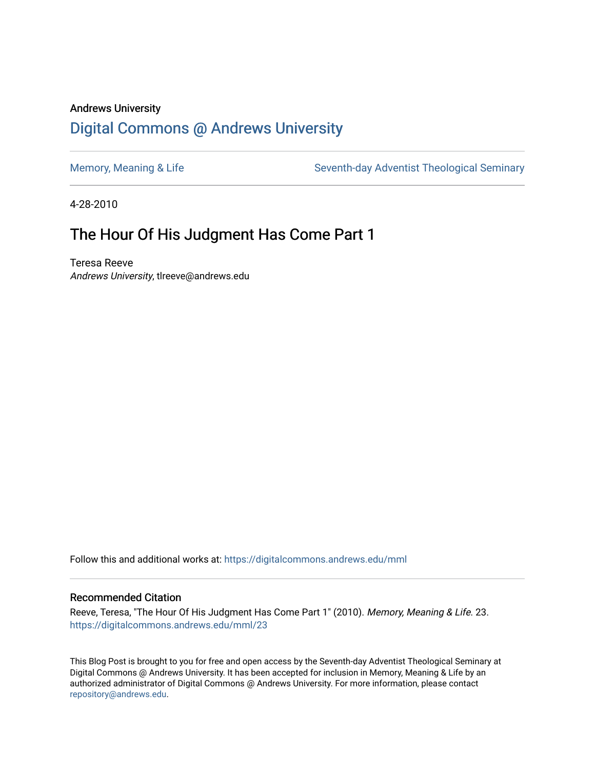## Andrews University [Digital Commons @ Andrews University](https://digitalcommons.andrews.edu/)

[Memory, Meaning & Life](https://digitalcommons.andrews.edu/mml) Seventh-day Adventist Theological Seminary

4-28-2010

## The Hour Of His Judgment Has Come Part 1

Teresa Reeve Andrews University, tlreeve@andrews.edu

Follow this and additional works at: [https://digitalcommons.andrews.edu/mml](https://digitalcommons.andrews.edu/mml?utm_source=digitalcommons.andrews.edu%2Fmml%2F23&utm_medium=PDF&utm_campaign=PDFCoverPages) 

#### Recommended Citation

Reeve, Teresa, "The Hour Of His Judgment Has Come Part 1" (2010). Memory, Meaning & Life. 23. [https://digitalcommons.andrews.edu/mml/23](https://digitalcommons.andrews.edu/mml/23?utm_source=digitalcommons.andrews.edu%2Fmml%2F23&utm_medium=PDF&utm_campaign=PDFCoverPages)

This Blog Post is brought to you for free and open access by the Seventh-day Adventist Theological Seminary at Digital Commons @ Andrews University. It has been accepted for inclusion in Memory, Meaning & Life by an authorized administrator of Digital Commons @ Andrews University. For more information, please contact [repository@andrews.edu](mailto:repository@andrews.edu).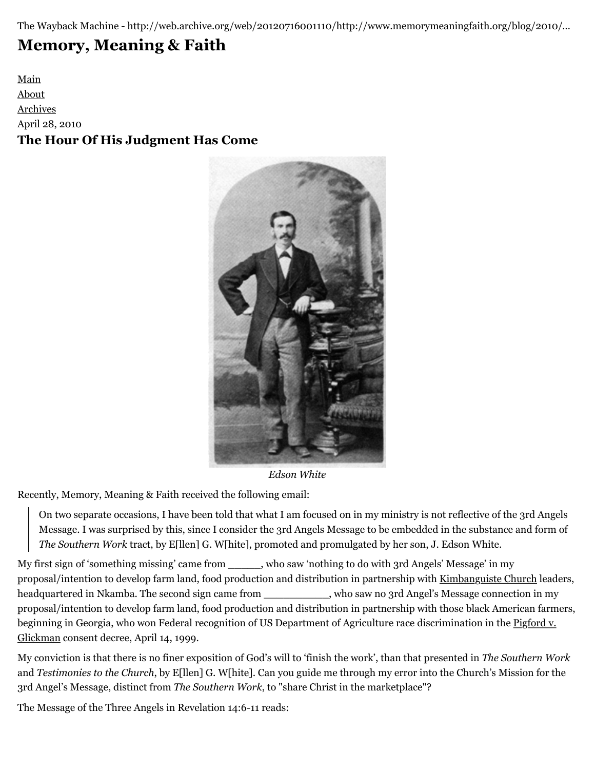The Wayback Machine - http://web.archive.org/web/20120716001110/http://www.memorymeaningfaith.org/blog/2010/…

# **[Memory, Meaning & Faith](http://web.archive.org/web/20120716001110/http://www.memorymeaningfaith.org/blog/)**

[Main](http://web.archive.org/web/20120716001110/http://www.memorymeaningfaith.org/blog) [About](http://web.archive.org/web/20120716001110/http://www.memorymeaningfaith.org/blog/about.html) [Archives](http://web.archive.org/web/20120716001110/http://www.memorymeaningfaith.org/blog/archives.html) April 28, 2010 **The Hour Of His Judgment Has Come**



*Edson White*

Recently, Memory, Meaning & Faith received the following email:

On two separate occasions, I have been told that what I am focused on in my ministry is not reflective of the 3rd Angels Message. I was surprised by this, since I consider the 3rd Angels Message to be embedded in the substance and form of *The Southern Work* tract, by E[llen] G. W[hite], promoted and promulgated by her son, J. Edson White.

My first sign of 'something missing' came from \_\_\_\_\_, who saw 'nothing to do with 3rd Angels' Message' in my proposal/intention to develop farm land, food production and distribution in partnership with [Kimbanguiste Church](http://web.archive.org/web/20120716001110/http://en.wikipedia.org/wiki/Kimbanguism) leaders, headquartered in Nkamba. The second sign came from \_\_\_\_\_\_\_\_\_\_\_, who saw no 3rd Angel's Message connection in my proposal/intention to develop farm land, food production and distribution in partnership with those black American farmers, [beginning in Georgia, who won Federal recognition of US Department of Agriculture race discrimination in the Pigford v.](http://web.archive.org/web/20120716001110/http://en.wikipedia.org/wiki/Pigford_v._Glickman) Glickman consent decree, April 14, 1999.

My conviction is that there is no finer exposition of God's will to 'finish the work', than that presented in *The Southern Work* and *Testimonies to the Church*, by E[llen] G. W[hite]. Can you guide me through my error into the Church's Mission for the 3rd Angel's Message, distinct from *The Southern Work*, to "share Christ in the marketplace"?

The Message of the Three Angels in Revelation 14:6-11 reads: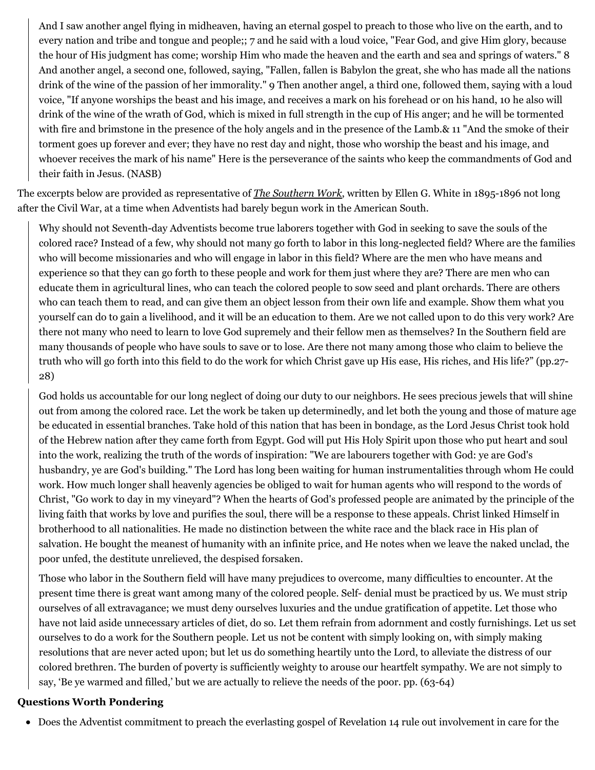And I saw another angel flying in midheaven, having an eternal gospel to preach to those who live on the earth, and to every nation and tribe and tongue and people;; 7 and he said with a loud voice, "Fear God, and give Him glory, because the hour of His judgment has come; worship Him who made the heaven and the earth and sea and springs of waters." 8 And another angel, a second one, followed, saying, "Fallen, fallen is Babylon the great, she who has made all the nations drink of the wine of the passion of her immorality." 9 Then another angel, a third one, followed them, saying with a loud voice, "If anyone worships the beast and his image, and receives a mark on his forehead or on his hand, 10 he also will drink of the wine of the wrath of God, which is mixed in full strength in the cup of His anger; and he will be tormented with fire and brimstone in the presence of the holy angels and in the presence of the Lamb.& 11 "And the smoke of their torment goes up forever and ever; they have no rest day and night, those who worship the beast and his image, and whoever receives the mark of his name" Here is the perseverance of the saints who keep the commandments of God and their faith in Jesus. (NASB)

The excerpts below are provided as representative of *[The Southern Work](http://web.archive.org/web/20120716001110/http://www.scribd.com/doc/3920735/The-Southern-Work)*, written by Ellen G. White in 1895-1896 not long after the Civil War, at a time when Adventists had barely begun work in the American South.

Why should not Seventh-day Adventists become true laborers together with God in seeking to save the souls of the colored race? Instead of a few, why should not many go forth to labor in this long-neglected field? Where are the families who will become missionaries and who will engage in labor in this field? Where are the men who have means and experience so that they can go forth to these people and work for them just where they are? There are men who can educate them in agricultural lines, who can teach the colored people to sow seed and plant orchards. There are others who can teach them to read, and can give them an object lesson from their own life and example. Show them what you yourself can do to gain a livelihood, and it will be an education to them. Are we not called upon to do this very work? Are there not many who need to learn to love God supremely and their fellow men as themselves? In the Southern field are many thousands of people who have souls to save or to lose. Are there not many among those who claim to believe the truth who will go forth into this field to do the work for which Christ gave up His ease, His riches, and His life?" (pp.27- 28)

God holds us accountable for our long neglect of doing our duty to our neighbors. He sees precious jewels that will shine out from among the colored race. Let the work be taken up determinedly, and let both the young and those of mature age be educated in essential branches. Take hold of this nation that has been in bondage, as the Lord Jesus Christ took hold of the Hebrew nation after they came forth from Egypt. God will put His Holy Spirit upon those who put heart and soul into the work, realizing the truth of the words of inspiration: "We are labourers together with God: ye are God's husbandry, ye are God's building." The Lord has long been waiting for human instrumentalities through whom He could work. How much longer shall heavenly agencies be obliged to wait for human agents who will respond to the words of Christ, "Go work to day in my vineyard"? When the hearts of God's professed people are animated by the principle of the living faith that works by love and purifies the soul, there will be a response to these appeals. Christ linked Himself in brotherhood to all nationalities. He made no distinction between the white race and the black race in His plan of salvation. He bought the meanest of humanity with an infinite price, and He notes when we leave the naked unclad, the poor unfed, the destitute unrelieved, the despised forsaken.

Those who labor in the Southern field will have many prejudices to overcome, many difficulties to encounter. At the present time there is great want among many of the colored people. Self- denial must be practiced by us. We must strip ourselves of all extravagance; we must deny ourselves luxuries and the undue gratification of appetite. Let those who have not laid aside unnecessary articles of diet, do so. Let them refrain from adornment and costly furnishings. Let us set ourselves to do a work for the Southern people. Let us not be content with simply looking on, with simply making resolutions that are never acted upon; but let us do something heartily unto the Lord, to alleviate the distress of our colored brethren. The burden of poverty is sufficiently weighty to arouse our heartfelt sympathy. We are not simply to say, 'Be ye warmed and filled,' but we are actually to relieve the needs of the poor. pp. (63-64)

#### **Questions Worth Pondering**

Does the Adventist commitment to preach the everlasting gospel of Revelation 14 rule out involvement in care for the